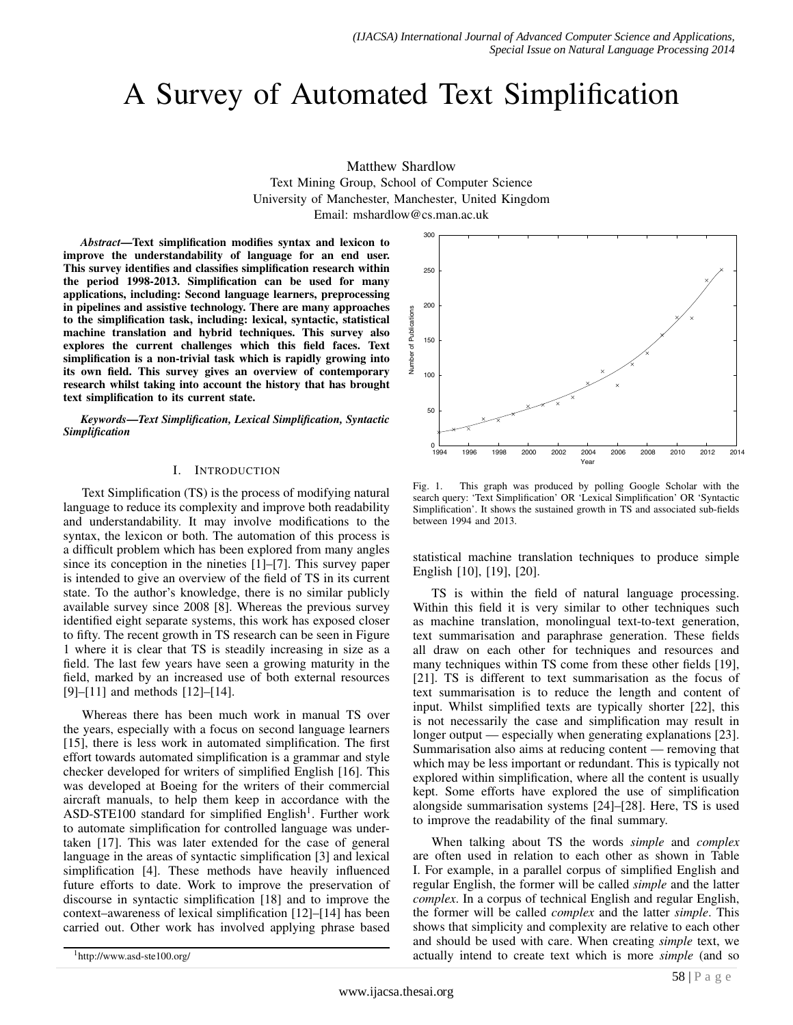# A Survey of Automated Text Simplification

#### Matthew Shardlow

Text Mining Group, School of Computer Science University of Manchester, Manchester, United Kingdom Email: mshardlow@cs.man.ac.uk

*Abstract*—Text simplification modifies syntax and lexicon to improve the understandability of language for an end user. This survey identifies and classifies simplification research within the period 1998-2013. Simplification can be used for many applications, including: Second language learners, preprocessing in pipelines and assistive technology. There are many approaches to the simplification task, including: lexical, syntactic, statistical machine translation and hybrid techniques. This survey also explores the current challenges which this field faces. Text simplification is a non-trivial task which is rapidly growing into its own field. This survey gives an overview of contemporary research whilst taking into account the history that has brought text simplification to its current state.

*Keywords*—*Text Simplification, Lexical Simplification, Syntactic Simplification*

#### I. INTRODUCTION

Text Simplification (TS) is the process of modifying natural language to reduce its complexity and improve both readability and understandability. It may involve modifications to the syntax, the lexicon or both. The automation of this process is a difficult problem which has been explored from many angles since its conception in the nineties [1]–[7]. This survey paper is intended to give an overview of the field of TS in its current state. To the author's knowledge, there is no similar publicly available survey since 2008 [8]. Whereas the previous survey identified eight separate systems, this work has exposed closer to fifty. The recent growth in TS research can be seen in Figure 1 where it is clear that TS is steadily increasing in size as a field. The last few years have seen a growing maturity in the field, marked by an increased use of both external resources [9]–[11] and methods [12]–[14].

Whereas there has been much work in manual TS over the years, especially with a focus on second language learners [15], there is less work in automated simplification. The first effort towards automated simplification is a grammar and style checker developed for writers of simplified English [16]. This was developed at Boeing for the writers of their commercial aircraft manuals, to help them keep in accordance with the ASD-STE100 standard for simplified English<sup>1</sup>. Further work to automate simplification for controlled language was undertaken [17]. This was later extended for the case of general language in the areas of syntactic simplification [3] and lexical simplification [4]. These methods have heavily influenced future efforts to date. Work to improve the preservation of discourse in syntactic simplification [18] and to improve the context–awareness of lexical simplification [12]–[14] has been carried out. Other work has involved applying phrase based



Fig. 1. This graph was produced by polling Google Scholar with the search query: 'Text Simplification' OR 'Lexical Simplification' OR 'Syntactic Simplification'. It shows the sustained growth in TS and associated sub-fields between 1994 and 2013.

statistical machine translation techniques to produce simple English [10], [19], [20].

TS is within the field of natural language processing. Within this field it is very similar to other techniques such as machine translation, monolingual text-to-text generation, text summarisation and paraphrase generation. These fields all draw on each other for techniques and resources and many techniques within TS come from these other fields [19], [21]. TS is different to text summarisation as the focus of text summarisation is to reduce the length and content of input. Whilst simplified texts are typically shorter [22], this is not necessarily the case and simplification may result in longer output — especially when generating explanations [23]. Summarisation also aims at reducing content — removing that which may be less important or redundant. This is typically not explored within simplification, where all the content is usually kept. Some efforts have explored the use of simplification alongside summarisation systems [24]–[28]. Here, TS is used to improve the readability of the final summary.

When talking about TS the words *simple* and *complex* are often used in relation to each other as shown in Table I. For example, in a parallel corpus of simplified English and regular English, the former will be called *simple* and the latter *complex*. In a corpus of technical English and regular English, the former will be called *complex* and the latter *simple*. This shows that simplicity and complexity are relative to each other and should be used with care. When creating *simple* text, we actually intend to create text which is more *simple* (and so

<sup>1</sup>http://www.asd-ste100.org/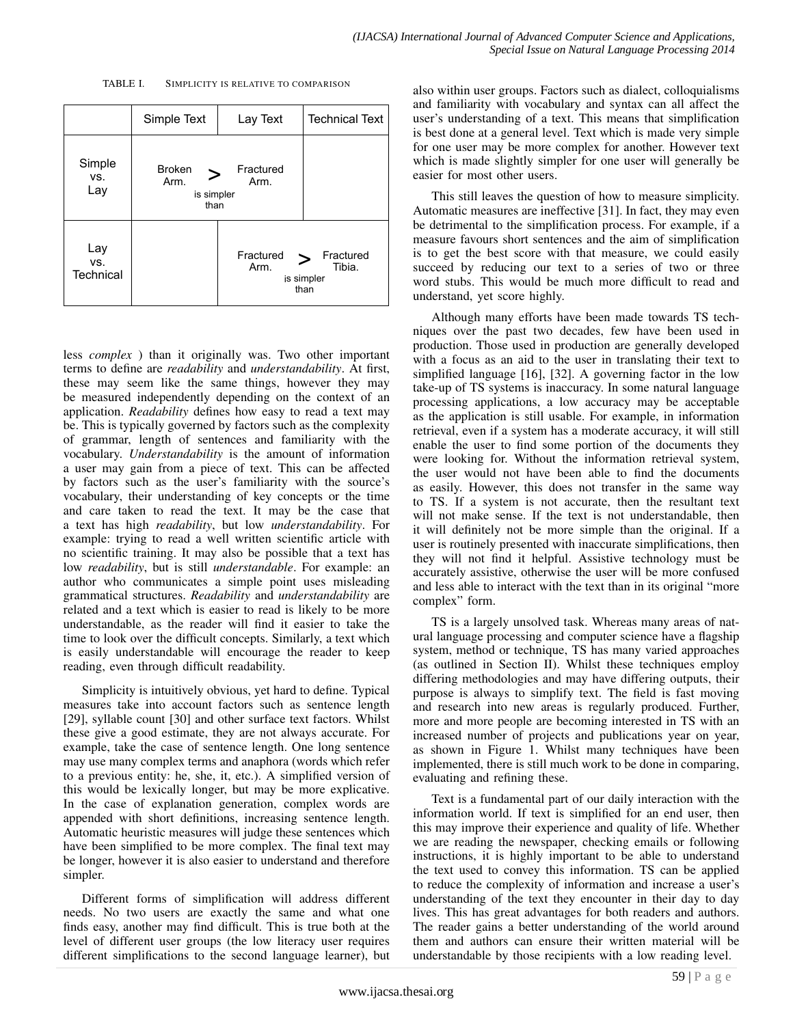TABLE I. SIMPLICITY IS RELATIVE TO COMPARISON



less *complex* ) than it originally was. Two other important terms to define are *readability* and *understandability*. At first, these may seem like the same things, however they may be measured independently depending on the context of an application. *Readability* defines how easy to read a text may be. This is typically governed by factors such as the complexity of grammar, length of sentences and familiarity with the vocabulary. *Understandability* is the amount of information a user may gain from a piece of text. This can be affected by factors such as the user's familiarity with the source's vocabulary, their understanding of key concepts or the time and care taken to read the text. It may be the case that a text has high *readability*, but low *understandability*. For example: trying to read a well written scientific article with no scientific training. It may also be possible that a text has low *readability*, but is still *understandable*. For example: an author who communicates a simple point uses misleading grammatical structures. *Readability* and *understandability* are related and a text which is easier to read is likely to be more understandable, as the reader will find it easier to take the time to look over the difficult concepts. Similarly, a text which is easily understandable will encourage the reader to keep reading, even through difficult readability.

Simplicity is intuitively obvious, yet hard to define. Typical measures take into account factors such as sentence length [29], syllable count [30] and other surface text factors. Whilst these give a good estimate, they are not always accurate. For example, take the case of sentence length. One long sentence may use many complex terms and anaphora (words which refer to a previous entity: he, she, it, etc.). A simplified version of this would be lexically longer, but may be more explicative. In the case of explanation generation, complex words are appended with short definitions, increasing sentence length. Automatic heuristic measures will judge these sentences which have been simplified to be more complex. The final text may be longer, however it is also easier to understand and therefore simpler.

Different forms of simplification will address different needs. No two users are exactly the same and what one finds easy, another may find difficult. This is true both at the level of different user groups (the low literacy user requires different simplifications to the second language learner), but also within user groups. Factors such as dialect, colloquialisms and familiarity with vocabulary and syntax can all affect the user's understanding of a text. This means that simplification is best done at a general level. Text which is made very simple for one user may be more complex for another. However text which is made slightly simpler for one user will generally be easier for most other users.

This still leaves the question of how to measure simplicity. Automatic measures are ineffective [31]. In fact, they may even be detrimental to the simplification process. For example, if a measure favours short sentences and the aim of simplification is to get the best score with that measure, we could easily succeed by reducing our text to a series of two or three word stubs. This would be much more difficult to read and understand, yet score highly.

Although many efforts have been made towards TS techniques over the past two decades, few have been used in production. Those used in production are generally developed with a focus as an aid to the user in translating their text to simplified language [16], [32]. A governing factor in the low take-up of TS systems is inaccuracy. In some natural language processing applications, a low accuracy may be acceptable as the application is still usable. For example, in information retrieval, even if a system has a moderate accuracy, it will still enable the user to find some portion of the documents they were looking for. Without the information retrieval system, the user would not have been able to find the documents as easily. However, this does not transfer in the same way to TS. If a system is not accurate, then the resultant text will not make sense. If the text is not understandable, then it will definitely not be more simple than the original. If a user is routinely presented with inaccurate simplifications, then they will not find it helpful. Assistive technology must be accurately assistive, otherwise the user will be more confused and less able to interact with the text than in its original "more complex" form.

TS is a largely unsolved task. Whereas many areas of natural language processing and computer science have a flagship system, method or technique, TS has many varied approaches (as outlined in Section II). Whilst these techniques employ differing methodologies and may have differing outputs, their purpose is always to simplify text. The field is fast moving and research into new areas is regularly produced. Further, more and more people are becoming interested in TS with an increased number of projects and publications year on year, as shown in Figure 1. Whilst many techniques have been implemented, there is still much work to be done in comparing, evaluating and refining these.

Text is a fundamental part of our daily interaction with the information world. If text is simplified for an end user, then this may improve their experience and quality of life. Whether we are reading the newspaper, checking emails or following instructions, it is highly important to be able to understand the text used to convey this information. TS can be applied to reduce the complexity of information and increase a user's understanding of the text they encounter in their day to day lives. This has great advantages for both readers and authors. The reader gains a better understanding of the world around them and authors can ensure their written material will be understandable by those recipients with a low reading level.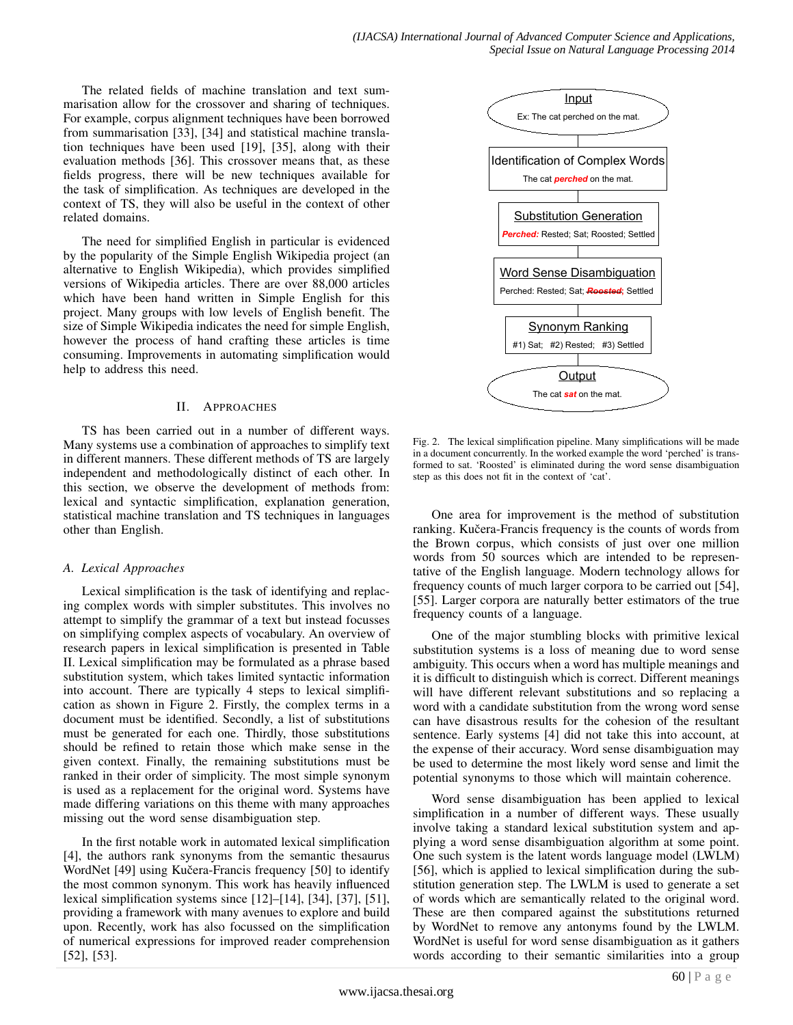The related fields of machine translation and text summarisation allow for the crossover and sharing of techniques. For example, corpus alignment techniques have been borrowed from summarisation [33], [34] and statistical machine translation techniques have been used [19], [35], along with their evaluation methods [36]. This crossover means that, as these fields progress, there will be new techniques available for the task of simplification. As techniques are developed in the context of TS, they will also be useful in the context of other related domains.

The need for simplified English in particular is evidenced by the popularity of the Simple English Wikipedia project (an alternative to English Wikipedia), which provides simplified versions of Wikipedia articles. There are over 88,000 articles which have been hand written in Simple English for this project. Many groups with low levels of English benefit. The size of Simple Wikipedia indicates the need for simple English, however the process of hand crafting these articles is time consuming. Improvements in automating simplification would help to address this need.

#### II. APPROACHES

TS has been carried out in a number of different ways. Many systems use a combination of approaches to simplify text in different manners. These different methods of TS are largely independent and methodologically distinct of each other. In this section, we observe the development of methods from: lexical and syntactic simplification, explanation generation, statistical machine translation and TS techniques in languages other than English.

#### *A. Lexical Approaches*

Lexical simplification is the task of identifying and replacing complex words with simpler substitutes. This involves no attempt to simplify the grammar of a text but instead focusses on simplifying complex aspects of vocabulary. An overview of research papers in lexical simplification is presented in Table II. Lexical simplification may be formulated as a phrase based substitution system, which takes limited syntactic information into account. There are typically 4 steps to lexical simplification as shown in Figure 2. Firstly, the complex terms in a document must be identified. Secondly, a list of substitutions must be generated for each one. Thirdly, those substitutions should be refined to retain those which make sense in the given context. Finally, the remaining substitutions must be ranked in their order of simplicity. The most simple synonym is used as a replacement for the original word. Systems have made differing variations on this theme with many approaches missing out the word sense disambiguation step.

In the first notable work in automated lexical simplification [4], the authors rank synonyms from the semantic thesaurus WordNet [49] using Kučera-Francis frequency [50] to identify the most common synonym. This work has heavily influenced lexical simplification systems since [12]–[14], [34], [37], [51], providing a framework with many avenues to explore and build upon. Recently, work has also focussed on the simplification of numerical expressions for improved reader comprehension [52], [53].



Fig. 2. The lexical simplification pipeline. Many simplifications will be made in a document concurrently. In the worked example the word 'perched' is transformed to sat. 'Roosted' is eliminated during the word sense disambiguation step as this does not fit in the context of 'cat'.

One area for improvement is the method of substitution ranking. Kučera-Francis frequency is the counts of words from the Brown corpus, which consists of just over one million words from 50 sources which are intended to be representative of the English language. Modern technology allows for frequency counts of much larger corpora to be carried out [54], [55]. Larger corpora are naturally better estimators of the true frequency counts of a language.

One of the major stumbling blocks with primitive lexical substitution systems is a loss of meaning due to word sense ambiguity. This occurs when a word has multiple meanings and it is difficult to distinguish which is correct. Different meanings will have different relevant substitutions and so replacing a word with a candidate substitution from the wrong word sense can have disastrous results for the cohesion of the resultant sentence. Early systems [4] did not take this into account, at the expense of their accuracy. Word sense disambiguation may be used to determine the most likely word sense and limit the potential synonyms to those which will maintain coherence.

Word sense disambiguation has been applied to lexical simplification in a number of different ways. These usually involve taking a standard lexical substitution system and applying a word sense disambiguation algorithm at some point. One such system is the latent words language model (LWLM) [56], which is applied to lexical simplification during the substitution generation step. The LWLM is used to generate a set of words which are semantically related to the original word. These are then compared against the substitutions returned by WordNet to remove any antonyms found by the LWLM. WordNet is useful for word sense disambiguation as it gathers words according to their semantic similarities into a group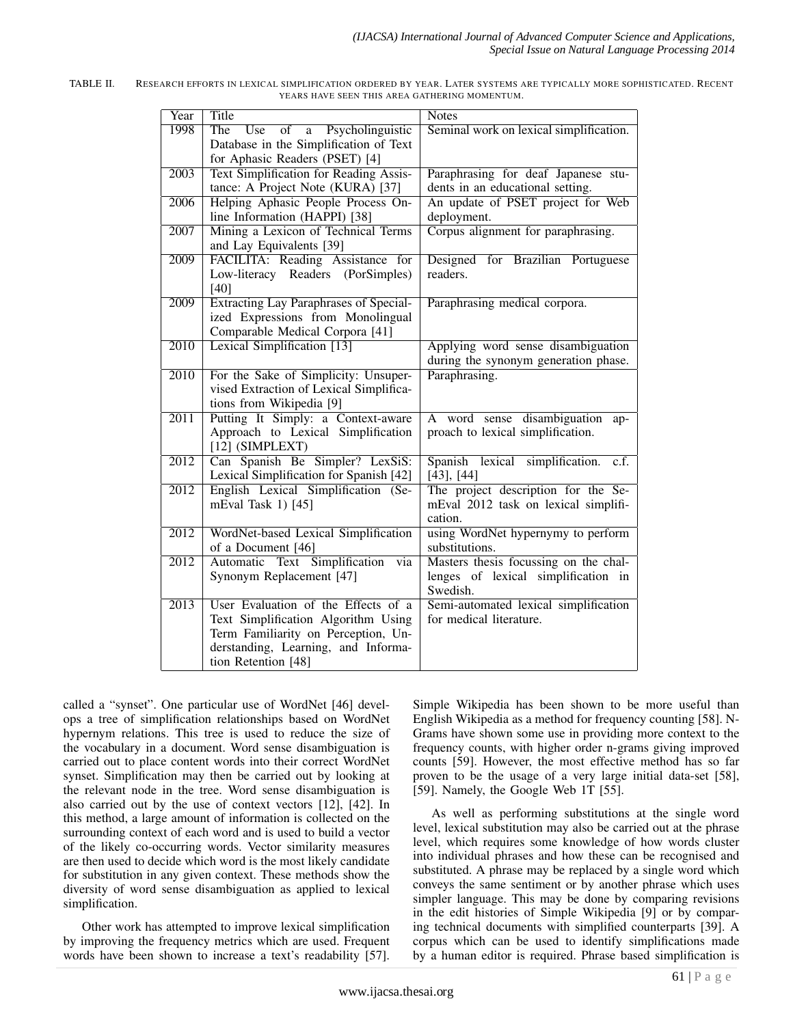| Year              | <b>Title</b>                                                                                                                                                                    | <b>Notes</b>                                                                             |  |
|-------------------|---------------------------------------------------------------------------------------------------------------------------------------------------------------------------------|------------------------------------------------------------------------------------------|--|
| 1998              | Use<br>$\overline{\text{of}}$<br>The<br>a Psycholinguistic<br>Database in the Simplification of Text<br>for Aphasic Readers (PSET) [4]                                          | Seminal work on lexical simplification.                                                  |  |
| 2003              | <b>Text Simplification for Reading Assis-</b><br>tance: A Project Note (KURA) [37]                                                                                              | Paraphrasing for deaf Japanese stu-<br>dents in an educational setting.                  |  |
| 2006              | Helping Aphasic People Process On-<br>line Information (HAPPI) [38]                                                                                                             | An update of PSET project for Web<br>deployment.                                         |  |
| 2007              | Mining a Lexicon of Technical Terms<br>and Lay Equivalents [39]                                                                                                                 | Corpus alignment for paraphrasing.                                                       |  |
| 2009              | FACILITA: Reading Assistance for<br>Low-literacy Readers (PorSimples)<br>$[40]$                                                                                                 | Designed for Brazilian Portuguese<br>readers.                                            |  |
| 2009              | <b>Extracting Lay Paraphrases of Special-</b><br>ized Expressions from Monolingual<br>Comparable Medical Corpora [41]                                                           | Paraphrasing medical corpora.                                                            |  |
| 2010              | Lexical Simplification [13]                                                                                                                                                     | Applying word sense disambiguation<br>during the synonym generation phase.               |  |
| 2010              | For the Sake of Simplicity: Unsuper-<br>vised Extraction of Lexical Simplifica-<br>tions from Wikipedia [9]                                                                     | Paraphrasing.                                                                            |  |
| 2011              | Putting It Simply: a Context-aware<br>Approach to Lexical Simplification<br>$[12]$ (SIMPLEXT)                                                                                   | A word sense disambiguation<br>ap-<br>proach to lexical simplification.                  |  |
| 2012              | Can Spanish Be Simpler? LexSiS:<br>Lexical Simplification for Spanish [42]                                                                                                      | Spanish lexical<br>simplification.<br>c.f.<br>$[43]$ , $[44]$                            |  |
| 2012              | English Lexical Simplification (Se-<br>mEval Task 1) [45]                                                                                                                       | The project description for the Se-<br>mEval 2012 task on lexical simplifi-<br>cation.   |  |
| 2012              | WordNet-based Lexical Simplification<br>of a Document [46]                                                                                                                      | using WordNet hypernymy to perform<br>substitutions.                                     |  |
| $\overline{2012}$ | Text Simplification<br>Automatic<br>via<br>Synonym Replacement [47]                                                                                                             | Masters thesis focussing on the chal-<br>lenges of lexical simplification in<br>Swedish. |  |
| 2013              | User Evaluation of the Effects of a<br>Text Simplification Algorithm Using<br>Term Familiarity on Perception, Un-<br>derstanding, Learning, and Informa-<br>tion Retention [48] | Semi-automated lexical simplification<br>for medical literature.                         |  |

| TABLE II. | RESEARCH EFFORTS IN LEXICAL SIMPLIFICATION ORDERED BY YEAR. LATER SYSTEMS ARE TYPICALLY MORE SOPHISTICATED. RECENT |
|-----------|--------------------------------------------------------------------------------------------------------------------|
|           | YEARS HAVE SEEN THIS AREA GATHERING MOMENTUM.                                                                      |

called a "synset". One particular use of WordNet [46] develops a tree of simplification relationships based on WordNet hypernym relations. This tree is used to reduce the size of the vocabulary in a document. Word sense disambiguation is carried out to place content words into their correct WordNet synset. Simplification may then be carried out by looking at the relevant node in the tree. Word sense disambiguation is also carried out by the use of context vectors [12], [42]. In this method, a large amount of information is collected on the surrounding context of each word and is used to build a vector of the likely co-occurring words. Vector similarity measures are then used to decide which word is the most likely candidate for substitution in any given context. These methods show the diversity of word sense disambiguation as applied to lexical simplification.

Other work has attempted to improve lexical simplification by improving the frequency metrics which are used. Frequent words have been shown to increase a text's readability [57].

Simple Wikipedia has been shown to be more useful than English Wikipedia as a method for frequency counting [58]. N-Grams have shown some use in providing more context to the frequency counts, with higher order n-grams giving improved counts [59]. However, the most effective method has so far proven to be the usage of a very large initial data-set [58], [59]. Namely, the Google Web 1T [55].

As well as performing substitutions at the single word level, lexical substitution may also be carried out at the phrase level, which requires some knowledge of how words cluster into individual phrases and how these can be recognised and substituted. A phrase may be replaced by a single word which conveys the same sentiment or by another phrase which uses simpler language. This may be done by comparing revisions in the edit histories of Simple Wikipedia [9] or by comparing technical documents with simplified counterparts [39]. A corpus which can be used to identify simplifications made by a human editor is required. Phrase based simplification is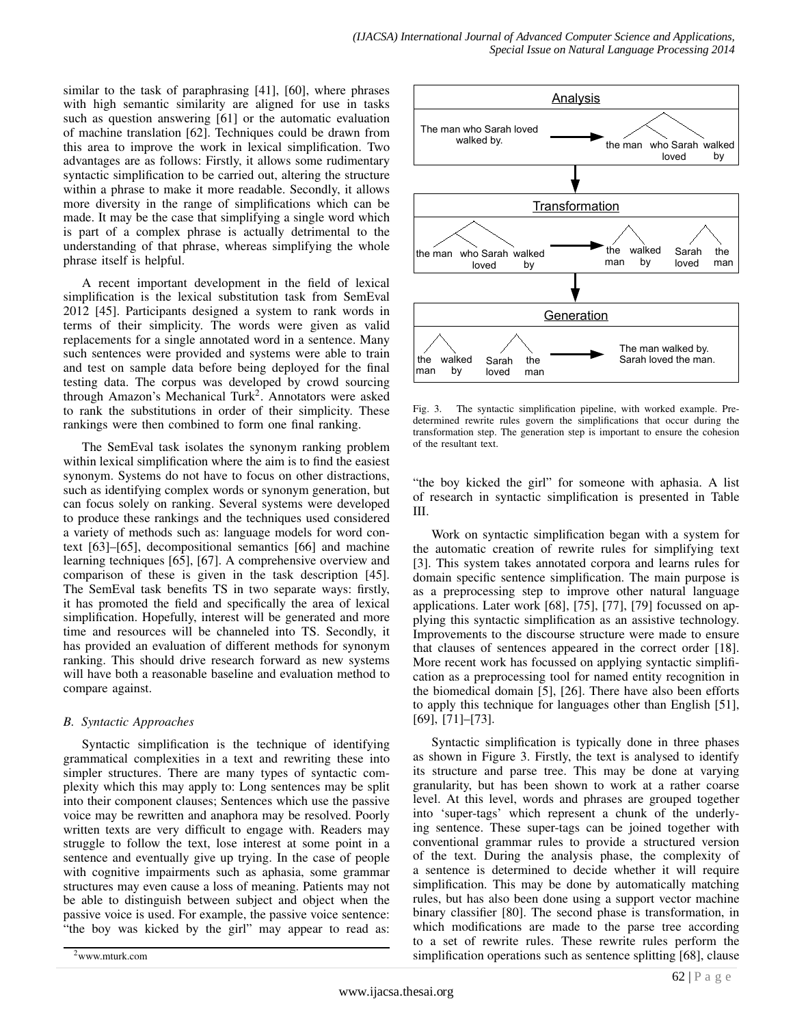similar to the task of paraphrasing [41], [60], where phrases with high semantic similarity are aligned for use in tasks such as question answering [61] or the automatic evaluation of machine translation [62]. Techniques could be drawn from this area to improve the work in lexical simplification. Two advantages are as follows: Firstly, it allows some rudimentary syntactic simplification to be carried out, altering the structure within a phrase to make it more readable. Secondly, it allows more diversity in the range of simplifications which can be made. It may be the case that simplifying a single word which is part of a complex phrase is actually detrimental to the understanding of that phrase, whereas simplifying the whole phrase itself is helpful.

A recent important development in the field of lexical simplification is the lexical substitution task from SemEval 2012 [45]. Participants designed a system to rank words in terms of their simplicity. The words were given as valid replacements for a single annotated word in a sentence. Many such sentences were provided and systems were able to train and test on sample data before being deployed for the final testing data. The corpus was developed by crowd sourcing through Amazon's Mechanical Turk<sup>2</sup>. Annotators were asked to rank the substitutions in order of their simplicity. These rankings were then combined to form one final ranking.

The SemEval task isolates the synonym ranking problem within lexical simplification where the aim is to find the easiest synonym. Systems do not have to focus on other distractions, such as identifying complex words or synonym generation, but can focus solely on ranking. Several systems were developed to produce these rankings and the techniques used considered a variety of methods such as: language models for word context [63]–[65], decompositional semantics [66] and machine learning techniques [65], [67]. A comprehensive overview and comparison of these is given in the task description [45]. The SemEval task benefits TS in two separate ways: firstly, it has promoted the field and specifically the area of lexical simplification. Hopefully, interest will be generated and more time and resources will be channeled into TS. Secondly, it has provided an evaluation of different methods for synonym ranking. This should drive research forward as new systems will have both a reasonable baseline and evaluation method to compare against.

# *B. Syntactic Approaches*

Syntactic simplification is the technique of identifying grammatical complexities in a text and rewriting these into simpler structures. There are many types of syntactic complexity which this may apply to: Long sentences may be split into their component clauses; Sentences which use the passive voice may be rewritten and anaphora may be resolved. Poorly written texts are very difficult to engage with. Readers may struggle to follow the text, lose interest at some point in a sentence and eventually give up trying. In the case of people with cognitive impairments such as aphasia, some grammar structures may even cause a loss of meaning. Patients may not be able to distinguish between subject and object when the passive voice is used. For example, the passive voice sentence: "the boy was kicked by the girl" may appear to read as:



Fig. 3. The syntactic simplification pipeline, with worked example. Predetermined rewrite rules govern the simplifications that occur during the transformation step. The generation step is important to ensure the cohesion of the resultant text.

"the boy kicked the girl" for someone with aphasia. A list of research in syntactic simplification is presented in Table III.

Work on syntactic simplification began with a system for the automatic creation of rewrite rules for simplifying text [3]. This system takes annotated corpora and learns rules for domain specific sentence simplification. The main purpose is as a preprocessing step to improve other natural language applications. Later work [68], [75], [77], [79] focussed on applying this syntactic simplification as an assistive technology. Improvements to the discourse structure were made to ensure that clauses of sentences appeared in the correct order [18]. More recent work has focussed on applying syntactic simplification as a preprocessing tool for named entity recognition in the biomedical domain [5], [26]. There have also been efforts to apply this technique for languages other than English [51], [69], [71]–[73].

Syntactic simplification is typically done in three phases as shown in Figure 3. Firstly, the text is analysed to identify its structure and parse tree. This may be done at varying granularity, but has been shown to work at a rather coarse level. At this level, words and phrases are grouped together into 'super-tags' which represent a chunk of the underlying sentence. These super-tags can be joined together with conventional grammar rules to provide a structured version of the text. During the analysis phase, the complexity of a sentence is determined to decide whether it will require simplification. This may be done by automatically matching rules, but has also been done using a support vector machine binary classifier [80]. The second phase is transformation, in which modifications are made to the parse tree according to a set of rewrite rules. These rewrite rules perform the simplification operations such as sentence splitting [68], clause

<sup>2</sup>www.mturk.com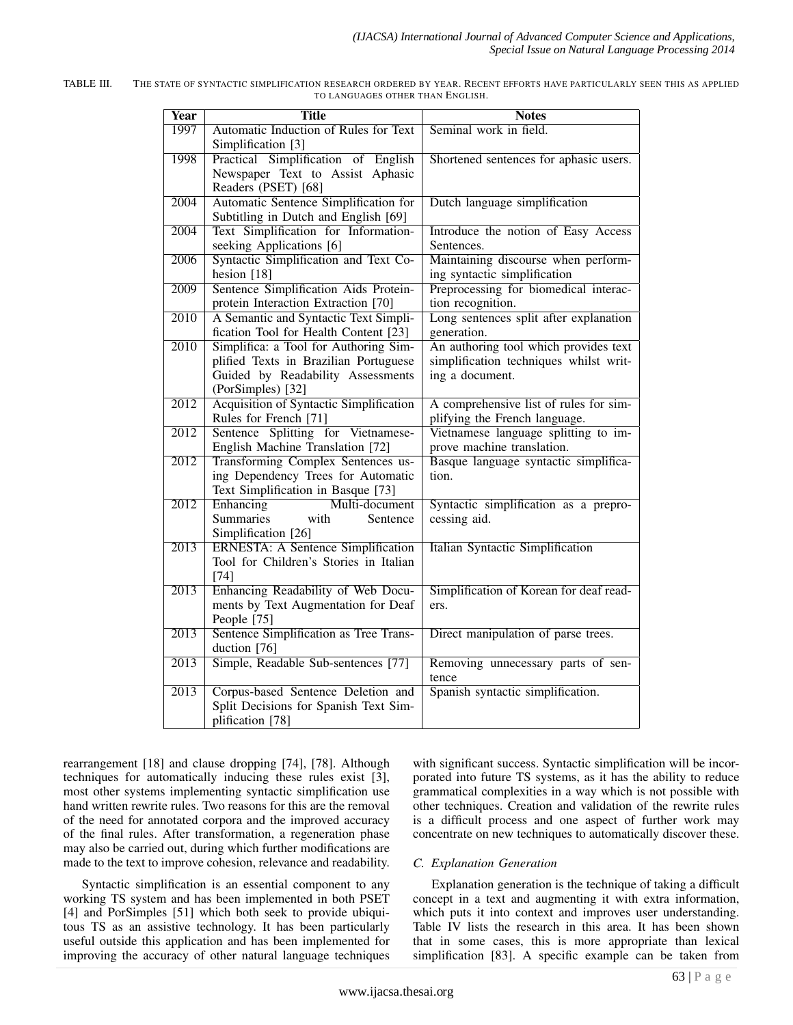| <b>Year</b>       | <b>Title</b>                                           | <b>Notes</b>                            |
|-------------------|--------------------------------------------------------|-----------------------------------------|
| 1997              | Automatic Induction of Rules for Text                  | Seminal work in field.                  |
|                   | Simplification [3]                                     |                                         |
| 1998              | Practical Simplification of English                    | Shortened sentences for aphasic users.  |
|                   | Newspaper Text to Assist Aphasic                       |                                         |
|                   | Readers (PSET) [68]                                    |                                         |
| 2004              | Automatic Sentence Simplification for                  | Dutch language simplification           |
|                   | Subtitling in Dutch and English [69]                   |                                         |
| 2004              | Text Simplification for Information-                   | Introduce the notion of Easy Access     |
|                   | seeking Applications [6]                               | Sentences.                              |
| 2006              | Syntactic Simplification and Text Co-                  | Maintaining discourse when perform-     |
|                   | hesion $[18]$                                          | ing syntactic simplification            |
| 2009              | Sentence Simplification Aids Protein-                  | Preprocessing for biomedical interac-   |
|                   | protein Interaction Extraction [70]                    | tion recognition.                       |
| 2010              | A Semantic and Syntactic Text Simpli-                  | Long sentences split after explanation  |
|                   | fication Tool for Health Content [23]                  | generation.                             |
| 2010              | Simplifica: a Tool for Authoring Sim-                  | An authoring tool which provides text   |
|                   | plified Texts in Brazilian Portuguese                  | simplification techniques whilst writ-  |
|                   | Guided by Readability Assessments<br>(PorSimples) [32] | ing a document.                         |
| 2012              | <b>Acquisition of Syntactic Simplification</b>         | A comprehensive list of rules for sim-  |
|                   | Rules for French [71]                                  | plifying the French language.           |
| $\overline{2012}$ | Sentence Splitting for Vietnamese-                     | Vietnamese language splitting to im-    |
|                   | English Machine Translation [72]                       | prove machine translation.              |
| 2012              | Transforming Complex Sentences us-                     | Basque language syntactic simplifica-   |
|                   | ing Dependency Trees for Automatic                     | tion.                                   |
|                   | Text Simplification in Basque [73]                     |                                         |
| $\overline{2012}$ | Enhancing<br>Multi-document                            | Syntactic simplification as a prepro-   |
|                   | <b>Summaries</b><br>with<br>Sentence                   | cessing aid.                            |
|                   | Simplification [26]                                    |                                         |
| 2013              | <b>ERNESTA: A Sentence Simplification</b>              | Italian Syntactic Simplification        |
|                   | Tool for Children's Stories in Italian                 |                                         |
|                   | $[74]$                                                 |                                         |
| 2013              | Enhancing Readability of Web Docu-                     | Simplification of Korean for deaf read- |
|                   | ments by Text Augmentation for Deaf                    | ers.                                    |
|                   | People [75]                                            |                                         |
| $\overline{2013}$ | Sentence Simplification as Tree Trans-                 | Direct manipulation of parse trees.     |
|                   | duction [76]                                           |                                         |
| 2013              | Simple, Readable Sub-sentences [77]                    | Removing unnecessary parts of sen-      |
|                   |                                                        | tence                                   |
| $\overline{2013}$ | Corpus-based Sentence Deletion and                     | Spanish syntactic simplification.       |
|                   | Split Decisions for Spanish Text Sim-                  |                                         |
|                   | plification [78]                                       |                                         |

| TABLE III | THE STATE OF SYNTACTIC SIMPLIFICATION RESEARCH ORDERED BY YEAR. RECENT EFFORTS HAVE PARTICULARLY SEEN THIS AS APPLIED |
|-----------|-----------------------------------------------------------------------------------------------------------------------|
|           | TO LANGUAGES OTHER THAN ENGLISH.                                                                                      |

rearrangement [18] and clause dropping [74], [78]. Although techniques for automatically inducing these rules exist [3], most other systems implementing syntactic simplification use hand written rewrite rules. Two reasons for this are the removal of the need for annotated corpora and the improved accuracy of the final rules. After transformation, a regeneration phase may also be carried out, during which further modifications are made to the text to improve cohesion, relevance and readability.

Syntactic simplification is an essential component to any working TS system and has been implemented in both PSET [4] and PorSimples [51] which both seek to provide ubiquitous TS as an assistive technology. It has been particularly useful outside this application and has been implemented for improving the accuracy of other natural language techniques

with significant success. Syntactic simplification will be incorporated into future TS systems, as it has the ability to reduce grammatical complexities in a way which is not possible with other techniques. Creation and validation of the rewrite rules is a difficult process and one aspect of further work may concentrate on new techniques to automatically discover these.

# *C. Explanation Generation*

Explanation generation is the technique of taking a difficult concept in a text and augmenting it with extra information, which puts it into context and improves user understanding. Table IV lists the research in this area. It has been shown that in some cases, this is more appropriate than lexical simplification [83]. A specific example can be taken from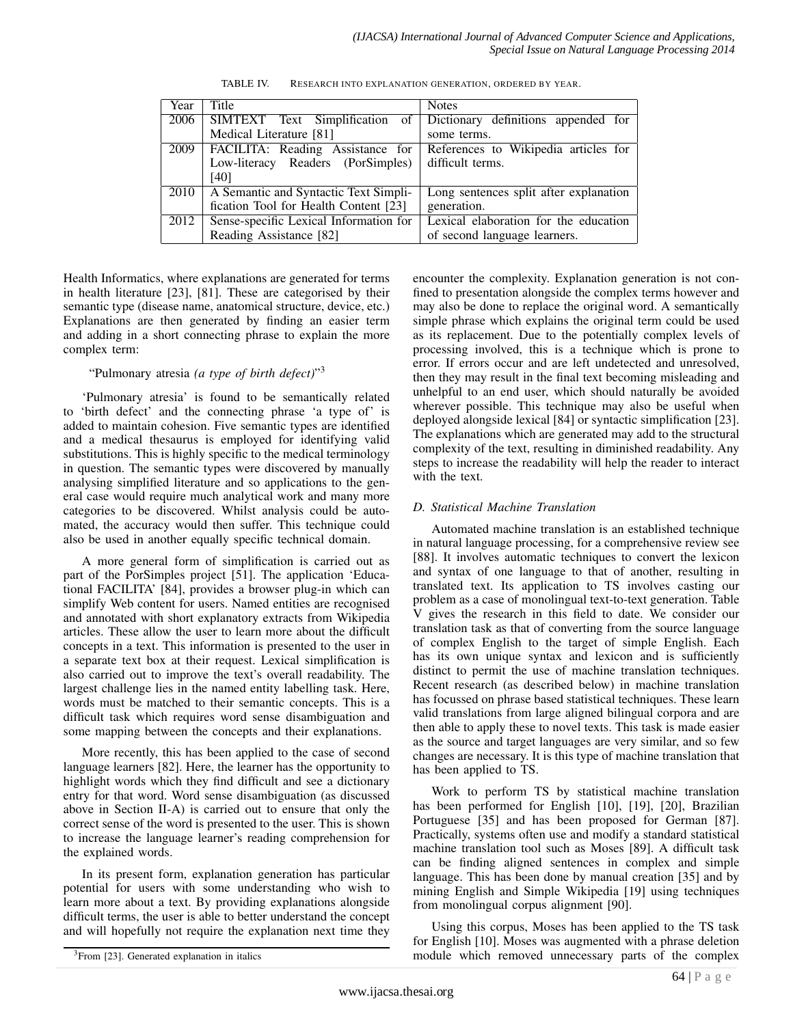| Year | Title                                  | <b>Notes</b>                           |  |
|------|----------------------------------------|----------------------------------------|--|
| 2006 | SIMTEXT Text Simplification of         | Dictionary definitions appended for    |  |
|      | Medical Literature [81]                | some terms.                            |  |
| 2009 | FACILITA: Reading Assistance for       | References to Wikipedia articles for   |  |
|      | Low-literacy Readers (PorSimples)      | difficult terms.                       |  |
|      | [40]                                   |                                        |  |
| 2010 | A Semantic and Syntactic Text Simpli-  | Long sentences split after explanation |  |
|      | fication Tool for Health Content [23]  | generation.                            |  |
| 2012 | Sense-specific Lexical Information for | Lexical elaboration for the education  |  |
|      | Reading Assistance [82]                | of second language learners.           |  |

TABLE IV. RESEARCH INTO EXPLANATION GENERATION, ORDERED BY YEAR.

Health Informatics, where explanations are generated for terms in health literature [23], [81]. These are categorised by their semantic type (disease name, anatomical structure, device, etc.) Explanations are then generated by finding an easier term and adding in a short connecting phrase to explain the more complex term:

# "Pulmonary atresia *(a type of birth defect)*" 3

'Pulmonary atresia' is found to be semantically related to 'birth defect' and the connecting phrase 'a type of' is added to maintain cohesion. Five semantic types are identified and a medical thesaurus is employed for identifying valid substitutions. This is highly specific to the medical terminology in question. The semantic types were discovered by manually analysing simplified literature and so applications to the general case would require much analytical work and many more categories to be discovered. Whilst analysis could be automated, the accuracy would then suffer. This technique could also be used in another equally specific technical domain.

A more general form of simplification is carried out as part of the PorSimples project [51]. The application 'Educational FACILITA' [84], provides a browser plug-in which can simplify Web content for users. Named entities are recognised and annotated with short explanatory extracts from Wikipedia articles. These allow the user to learn more about the difficult concepts in a text. This information is presented to the user in a separate text box at their request. Lexical simplification is also carried out to improve the text's overall readability. The largest challenge lies in the named entity labelling task. Here, words must be matched to their semantic concepts. This is a difficult task which requires word sense disambiguation and some mapping between the concepts and their explanations.

More recently, this has been applied to the case of second language learners [82]. Here, the learner has the opportunity to highlight words which they find difficult and see a dictionary entry for that word. Word sense disambiguation (as discussed above in Section II-A) is carried out to ensure that only the correct sense of the word is presented to the user. This is shown to increase the language learner's reading comprehension for the explained words.

In its present form, explanation generation has particular potential for users with some understanding who wish to learn more about a text. By providing explanations alongside difficult terms, the user is able to better understand the concept and will hopefully not require the explanation next time they encounter the complexity. Explanation generation is not confined to presentation alongside the complex terms however and may also be done to replace the original word. A semantically simple phrase which explains the original term could be used as its replacement. Due to the potentially complex levels of processing involved, this is a technique which is prone to error. If errors occur and are left undetected and unresolved, then they may result in the final text becoming misleading and unhelpful to an end user, which should naturally be avoided wherever possible. This technique may also be useful when deployed alongside lexical [84] or syntactic simplification [23]. The explanations which are generated may add to the structural complexity of the text, resulting in diminished readability. Any steps to increase the readability will help the reader to interact with the text.

# *D. Statistical Machine Translation*

Automated machine translation is an established technique in natural language processing, for a comprehensive review see [88]. It involves automatic techniques to convert the lexicon and syntax of one language to that of another, resulting in translated text. Its application to TS involves casting our problem as a case of monolingual text-to-text generation. Table V gives the research in this field to date. We consider our translation task as that of converting from the source language of complex English to the target of simple English. Each has its own unique syntax and lexicon and is sufficiently distinct to permit the use of machine translation techniques. Recent research (as described below) in machine translation has focussed on phrase based statistical techniques. These learn valid translations from large aligned bilingual corpora and are then able to apply these to novel texts. This task is made easier as the source and target languages are very similar, and so few changes are necessary. It is this type of machine translation that has been applied to TS.

Work to perform TS by statistical machine translation has been performed for English [10], [19], [20], Brazilian Portuguese [35] and has been proposed for German [87]. Practically, systems often use and modify a standard statistical machine translation tool such as Moses [89]. A difficult task can be finding aligned sentences in complex and simple language. This has been done by manual creation [35] and by mining English and Simple Wikipedia [19] using techniques from monolingual corpus alignment [90].

Using this corpus, Moses has been applied to the TS task for English [10]. Moses was augmented with a phrase deletion module which removed unnecessary parts of the complex

<sup>&</sup>lt;sup>3</sup>From [23]. Generated explanation in italics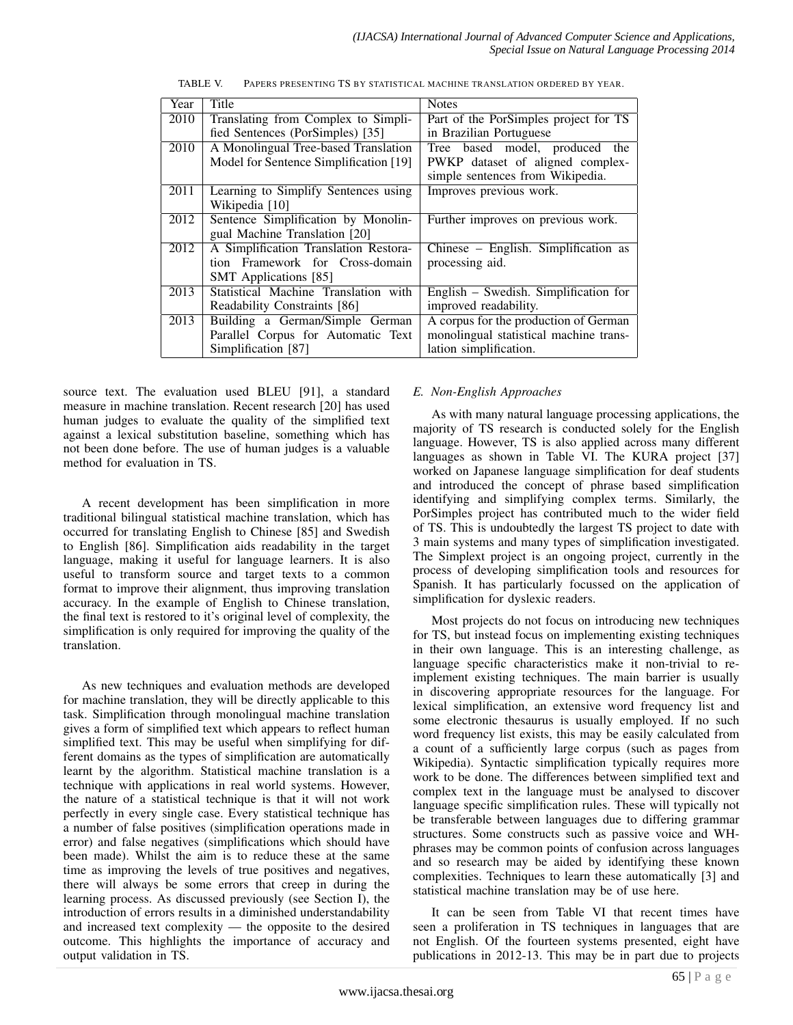| Year | Title                                  | <b>Notes</b>                           |  |
|------|----------------------------------------|----------------------------------------|--|
| 2010 | Translating from Complex to Simpli-    | Part of the PorSimples project for TS  |  |
|      | fied Sentences (PorSimples) [35]       | in Brazilian Portuguese                |  |
| 2010 | A Monolingual Tree-based Translation   | Tree based model, produced<br>the      |  |
|      | Model for Sentence Simplification [19] | PWKP dataset of aligned complex-       |  |
|      |                                        | simple sentences from Wikipedia.       |  |
| 2011 | Learning to Simplify Sentences using   | Improves previous work.                |  |
|      | Wikipedia [10]                         |                                        |  |
| 2012 | Sentence Simplification by Monolin-    | Further improves on previous work.     |  |
|      | gual Machine Translation [20]          |                                        |  |
| 2012 | A Simplification Translation Restora-  | Chinese – English. Simplification as   |  |
|      | tion Framework for Cross-domain        | processing aid.                        |  |
|      | <b>SMT</b> Applications [85]           |                                        |  |
| 2013 | Statistical Machine Translation with   | English – Swedish. Simplification for  |  |
|      | Readability Constraints [86]           | improved readability.                  |  |
| 2013 | Building a German/Simple German        | A corpus for the production of German  |  |
|      | Parallel Corpus for Automatic Text     | monolingual statistical machine trans- |  |
|      | Simplification [87]                    | lation simplification.                 |  |

TABLE V. PAPERS PRESENTING TS BY STATISTICAL MACHINE TRANSLATION ORDERED BY YEAR.

source text. The evaluation used BLEU [91], a standard measure in machine translation. Recent research [20] has used human judges to evaluate the quality of the simplified text against a lexical substitution baseline, something which has not been done before. The use of human judges is a valuable method for evaluation in TS.

A recent development has been simplification in more traditional bilingual statistical machine translation, which has occurred for translating English to Chinese [85] and Swedish to English [86]. Simplification aids readability in the target language, making it useful for language learners. It is also useful to transform source and target texts to a common format to improve their alignment, thus improving translation accuracy. In the example of English to Chinese translation, the final text is restored to it's original level of complexity, the simplification is only required for improving the quality of the translation.

As new techniques and evaluation methods are developed for machine translation, they will be directly applicable to this task. Simplification through monolingual machine translation gives a form of simplified text which appears to reflect human simplified text. This may be useful when simplifying for different domains as the types of simplification are automatically learnt by the algorithm. Statistical machine translation is a technique with applications in real world systems. However, the nature of a statistical technique is that it will not work perfectly in every single case. Every statistical technique has a number of false positives (simplification operations made in error) and false negatives (simplifications which should have been made). Whilst the aim is to reduce these at the same time as improving the levels of true positives and negatives, there will always be some errors that creep in during the learning process. As discussed previously (see Section I), the introduction of errors results in a diminished understandability and increased text complexity — the opposite to the desired outcome. This highlights the importance of accuracy and output validation in TS.

# *E. Non-English Approaches*

As with many natural language processing applications, the majority of TS research is conducted solely for the English language. However, TS is also applied across many different languages as shown in Table VI. The KURA project [37] worked on Japanese language simplification for deaf students and introduced the concept of phrase based simplification identifying and simplifying complex terms. Similarly, the PorSimples project has contributed much to the wider field of TS. This is undoubtedly the largest TS project to date with 3 main systems and many types of simplification investigated. The Simplext project is an ongoing project, currently in the process of developing simplification tools and resources for Spanish. It has particularly focussed on the application of simplification for dyslexic readers.

Most projects do not focus on introducing new techniques for TS, but instead focus on implementing existing techniques in their own language. This is an interesting challenge, as language specific characteristics make it non-trivial to reimplement existing techniques. The main barrier is usually in discovering appropriate resources for the language. For lexical simplification, an extensive word frequency list and some electronic thesaurus is usually employed. If no such word frequency list exists, this may be easily calculated from a count of a sufficiently large corpus (such as pages from Wikipedia). Syntactic simplification typically requires more work to be done. The differences between simplified text and complex text in the language must be analysed to discover language specific simplification rules. These will typically not be transferable between languages due to differing grammar structures. Some constructs such as passive voice and WHphrases may be common points of confusion across languages and so research may be aided by identifying these known complexities. Techniques to learn these automatically [3] and statistical machine translation may be of use here.

It can be seen from Table VI that recent times have seen a proliferation in TS techniques in languages that are not English. Of the fourteen systems presented, eight have publications in 2012-13. This may be in part due to projects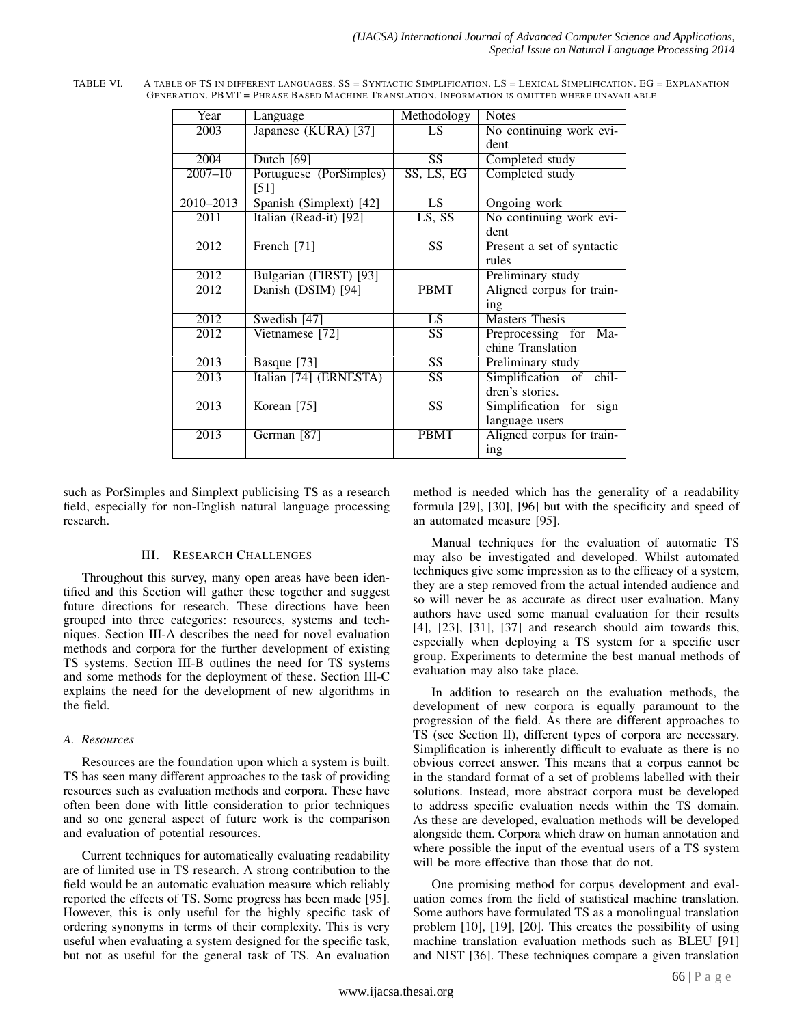| Year              | Language                | Methodology            | <b>Notes</b>               |
|-------------------|-------------------------|------------------------|----------------------------|
| 2003              | Japanese (KURA) [37]    | LS                     | No continuing work evi-    |
|                   |                         |                        | dent                       |
| 2004              | Dutch [69]              | $\overline{\text{SS}}$ | Completed study            |
| $2007 - 10$       | Portuguese (PorSimples) | SS, LS, EG             | Completed study            |
|                   | $\left[51\right]$       |                        |                            |
| $2010 - 2013$     | Spanish (Simplext) [42] | $\overline{LS}$        | Ongoing work               |
| 2011              | Italian (Read-it) [92]  | $\overline{LS, SS}$    | No continuing work evi-    |
|                   |                         |                        | dent                       |
| 2012              | French [71]             | $\overline{\text{SS}}$ | Present a set of syntactic |
|                   |                         |                        | rules                      |
| 2012              | Bulgarian (FIRST) [93]  |                        | Preliminary study          |
| 2012              | Danish (DSIM) [94]      | <b>PBMT</b>            | Aligned corpus for train-  |
|                   |                         |                        | ing                        |
| 2012              | Swedish $[47]$          | LS                     | <b>Masters Thesis</b>      |
| 2012              | Vietnamese [72]         | $\overline{\text{SS}}$ | Preprocessing for Ma-      |
|                   |                         |                        | chine Translation          |
| 2013              | Basque [73]             | $\overline{\text{SS}}$ | Preliminary study          |
| $\overline{2013}$ | Italian [74] (ERNESTA)  | $\overline{\text{SS}}$ | Simplification of chil-    |
|                   |                         |                        | dren's stories.            |
| 2013              | Korean $\overline{75}$  | SS                     | Simplification for<br>sign |
|                   |                         |                        | language users             |
| 2013              | German [87]             | <b>PBMT</b>            | Aligned corpus for train-  |
|                   |                         |                        | ing                        |

TABLE VI. A TABLE OF TS IN DIFFERENT LANGUAGES. SS = SYNTACTIC SIMPLIFICATION. LS = LEXICAL SIMPLIFICATION. EG = EXPLANATION GENERATION. PBMT = PHRASE BASED MACHINE TRANSLATION. INFORMATION IS OMITTED WHERE UNAVAILABLE

such as PorSimples and Simplext publicising TS as a research field, especially for non-English natural language processing research.

#### III. RESEARCH CHALLENGES

Throughout this survey, many open areas have been identified and this Section will gather these together and suggest future directions for research. These directions have been grouped into three categories: resources, systems and techniques. Section III-A describes the need for novel evaluation methods and corpora for the further development of existing TS systems. Section III-B outlines the need for TS systems and some methods for the deployment of these. Section III-C explains the need for the development of new algorithms in the field.

# *A. Resources*

Resources are the foundation upon which a system is built. TS has seen many different approaches to the task of providing resources such as evaluation methods and corpora. These have often been done with little consideration to prior techniques and so one general aspect of future work is the comparison and evaluation of potential resources.

Current techniques for automatically evaluating readability are of limited use in TS research. A strong contribution to the field would be an automatic evaluation measure which reliably reported the effects of TS. Some progress has been made [95]. However, this is only useful for the highly specific task of ordering synonyms in terms of their complexity. This is very useful when evaluating a system designed for the specific task, but not as useful for the general task of TS. An evaluation

method is needed which has the generality of a readability formula [29], [30], [96] but with the specificity and speed of an automated measure [95].

Manual techniques for the evaluation of automatic TS may also be investigated and developed. Whilst automated techniques give some impression as to the efficacy of a system, they are a step removed from the actual intended audience and so will never be as accurate as direct user evaluation. Many authors have used some manual evaluation for their results [4], [23], [31], [37] and research should aim towards this, especially when deploying a TS system for a specific user group. Experiments to determine the best manual methods of evaluation may also take place.

In addition to research on the evaluation methods, the development of new corpora is equally paramount to the progression of the field. As there are different approaches to TS (see Section II), different types of corpora are necessary. Simplification is inherently difficult to evaluate as there is no obvious correct answer. This means that a corpus cannot be in the standard format of a set of problems labelled with their solutions. Instead, more abstract corpora must be developed to address specific evaluation needs within the TS domain. As these are developed, evaluation methods will be developed alongside them. Corpora which draw on human annotation and where possible the input of the eventual users of a TS system will be more effective than those that do not.

One promising method for corpus development and evaluation comes from the field of statistical machine translation. Some authors have formulated TS as a monolingual translation problem [10], [19], [20]. This creates the possibility of using machine translation evaluation methods such as BLEU [91] and NIST [36]. These techniques compare a given translation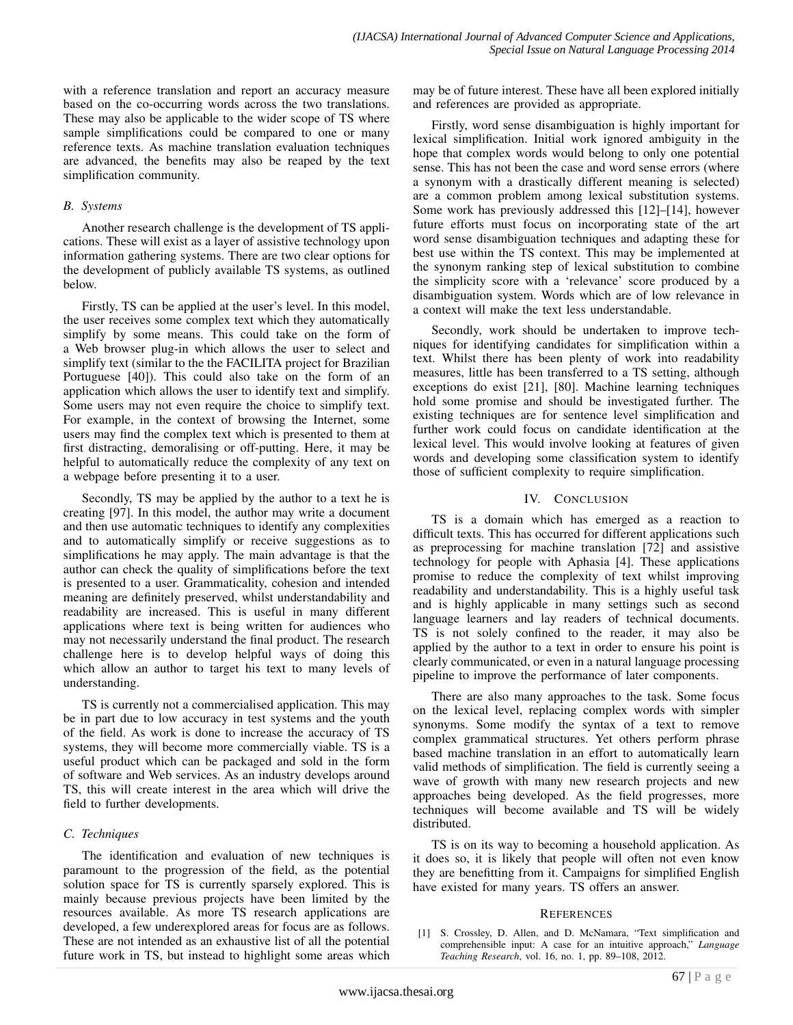with a reference translation and report an accuracy measure based on the co-occurring words across the two translations. These may also be applicable to the wider scope of TS where sample simplifications could be compared to one or many reference texts. As machine translation evaluation techniques are advanced, the benefits may also be reaped by the text simplification community.

### *B. Systems*

Another research challenge is the development of TS applications. These will exist as a layer of assistive technology upon information gathering systems. There are two clear options for the development of publicly available TS systems, as outlined below.

Firstly, TS can be applied at the user's level. In this model, the user receives some complex text which they automatically simplify by some means. This could take on the form of a Web browser plug-in which allows the user to select and simplify text (similar to the the FACILITA project for Brazilian Portuguese [40]). This could also take on the form of an application which allows the user to identify text and simplify. Some users may not even require the choice to simplify text. For example, in the context of browsing the Internet, some users may find the complex text which is presented to them at first distracting, demoralising or off-putting. Here, it may be helpful to automatically reduce the complexity of any text on a webpage before presenting it to a user.

Secondly, TS may be applied by the author to a text he is creating [97]. In this model, the author may write a document and then use automatic techniques to identify any complexities and to automatically simplify or receive suggestions as to simplifications he may apply. The main advantage is that the author can check the quality of simplifications before the text is presented to a user. Grammaticality, cohesion and intended meaning are definitely preserved, whilst understandability and readability are increased. This is useful in many different applications where text is being written for audiences who may not necessarily understand the final product. The research challenge here is to develop helpful ways of doing this which allow an author to target his text to many levels of understanding.

TS is currently not a commercialised application. This may be in part due to low accuracy in test systems and the youth of the field. As work is done to increase the accuracy of TS systems, they will become more commercially viable. TS is a useful product which can be packaged and sold in the form of software and Web services. As an industry develops around TS, this will create interest in the area which will drive the field to further developments.

# *C. Techniques*

The identification and evaluation of new techniques is paramount to the progression of the field, as the potential solution space for TS is currently sparsely explored. This is mainly because previous projects have been limited by the resources available. As more TS research applications are developed, a few underexplored areas for focus are as follows. These are not intended as an exhaustive list of all the potential future work in TS, but instead to highlight some areas which may be of future interest. These have all been explored initially and references are provided as appropriate.

Firstly, word sense disambiguation is highly important for lexical simplification. Initial work ignored ambiguity in the hope that complex words would belong to only one potential sense. This has not been the case and word sense errors (where a synonym with a drastically different meaning is selected) are a common problem among lexical substitution systems. Some work has previously addressed this [12]–[14], however future efforts must focus on incorporating state of the art word sense disambiguation techniques and adapting these for best use within the TS context. This may be implemented at the synonym ranking step of lexical substitution to combine the simplicity score with a 'relevance' score produced by a disambiguation system. Words which are of low relevance in a context will make the text less understandable.

Secondly, work should be undertaken to improve techniques for identifying candidates for simplification within a text. Whilst there has been plenty of work into readability measures, little has been transferred to a TS setting, although exceptions do exist [21], [80]. Machine learning techniques hold some promise and should be investigated further. The existing techniques are for sentence level simplification and further work could focus on candidate identification at the lexical level. This would involve looking at features of given words and developing some classification system to identify those of sufficient complexity to require simplification.

# IV. CONCLUSION

TS is a domain which has emerged as a reaction to difficult texts. This has occurred for different applications such as preprocessing for machine translation [72] and assistive technology for people with Aphasia [4]. These applications promise to reduce the complexity of text whilst improving readability and understandability. This is a highly useful task and is highly applicable in many settings such as second language learners and lay readers of technical documents. TS is not solely confined to the reader, it may also be applied by the author to a text in order to ensure his point is clearly communicated, or even in a natural language processing pipeline to improve the performance of later components.

There are also many approaches to the task. Some focus on the lexical level, replacing complex words with simpler synonyms. Some modify the syntax of a text to remove complex grammatical structures. Yet others perform phrase based machine translation in an effort to automatically learn valid methods of simplification. The field is currently seeing a wave of growth with many new research projects and new approaches being developed. As the field progresses, more techniques will become available and TS will be widely distributed.

TS is on its way to becoming a household application. As it does so, it is likely that people will often not even know they are benefitting from it. Campaigns for simplified English have existed for many years. TS offers an answer.

#### **REFERENCES**

[1] S. Crossley, D. Allen, and D. McNamara, "Text simplification and comprehensible input: A case for an intuitive approach," *Language Teaching Research*, vol. 16, no. 1, pp. 89–108, 2012.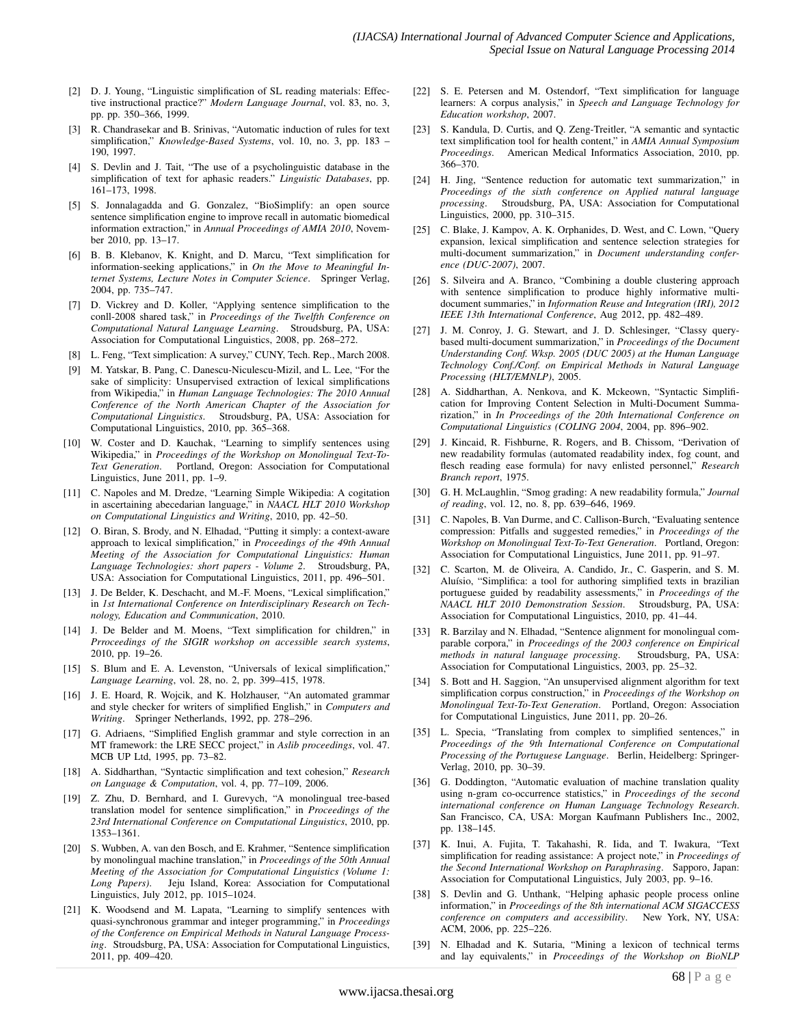- [2] D. J. Young, "Linguistic simplification of SL reading materials: Effective instructional practice?" *Modern Language Journal*, vol. 83, no. 3, pp. pp. 350–366, 1999.
- [3] R. Chandrasekar and B. Srinivas, "Automatic induction of rules for text simplification," *Knowledge-Based Systems*, vol. 10, no. 3, pp. 183 – 190, 1997.
- [4] S. Devlin and J. Tait, "The use of a psycholinguistic database in the simplification of text for aphasic readers." *Linguistic Databases*, pp. 161–173, 1998.
- [5] S. Jonnalagadda and G. Gonzalez, "BioSimplify: an open source sentence simplification engine to improve recall in automatic biomedical information extraction," in *Annual Proceedings of AMIA 2010*, November 2010, pp. 13–17.
- [6] B. B. Klebanov, K. Knight, and D. Marcu, "Text simplification for information-seeking applications," in *On the Move to Meaningful Internet Systems, Lecture Notes in Computer Science*. Springer Verlag, 2004, pp. 735–747.
- [7] D. Vickrey and D. Koller, "Applying sentence simplification to the conll-2008 shared task," in *Proceedings of the Twelfth Conference on Computational Natural Language Learning*. Stroudsburg, PA, USA: Association for Computational Linguistics, 2008, pp. 268–272.
- [8] L. Feng, "Text simplication: A survey," CUNY, Tech. Rep., March 2008.
- [9] M. Yatskar, B. Pang, C. Danescu-Niculescu-Mizil, and L. Lee, "For the sake of simplicity: Unsupervised extraction of lexical simplifications from Wikipedia," in *Human Language Technologies: The 2010 Annual Conference of the North American Chapter of the Association for Computational Linguistics*. Stroudsburg, PA, USA: Association for Computational Linguistics, 2010, pp. 365–368.
- [10] W. Coster and D. Kauchak, "Learning to simplify sentences using Wikipedia," in *Proceedings of the Workshop on Monolingual Text-To-Text Generation*. Portland, Oregon: Association for Computational Linguistics, June 2011, pp. 1–9.
- [11] C. Napoles and M. Dredze, "Learning Simple Wikipedia: A cogitation in ascertaining abecedarian language," in *NAACL HLT 2010 Workshop on Computational Linguistics and Writing*, 2010, pp. 42–50.
- [12] O. Biran, S. Brody, and N. Elhadad, "Putting it simply: a context-aware approach to lexical simplification," in *Proceedings of the 49th Annual Meeting of the Association for Computational Linguistics: Human Language Technologies: short papers - Volume 2*. Stroudsburg, PA, USA: Association for Computational Linguistics, 2011, pp. 496–501.
- [13] J. De Belder, K. Deschacht, and M.-F. Moens, "Lexical simplification," in *1st International Conference on Interdisciplinary Research on Technology, Education and Communication*, 2010.
- [14] J. De Belder and M. Moens, "Text simplification for children," in *Prroceedings of the SIGIR workshop on accessible search systems*, 2010, pp. 19–26.
- [15] S. Blum and E. A. Levenston, "Universals of lexical simplification," *Language Learning*, vol. 28, no. 2, pp. 399–415, 1978.
- [16] J. E. Hoard, R. Wojcik, and K. Holzhauser, "An automated grammar and style checker for writers of simplified English," in *Computers and Writing*. Springer Netherlands, 1992, pp. 278–296.
- [17] G. Adriaens, "Simplified English grammar and style correction in an MT framework: the LRE SECC project," in *Aslib proceedings*, vol. 47. MCB UP Ltd, 1995, pp. 73–82.
- [18] A. Siddharthan, "Syntactic simplification and text cohesion," *Research on Language & Computation*, vol. 4, pp. 77–109, 2006.
- [19] Z. Zhu, D. Bernhard, and I. Gurevych, "A monolingual tree-based translation model for sentence simplification," in *Proceedings of the 23rd International Conference on Computational Linguistics*, 2010, pp. 1353–1361.
- [20] S. Wubben, A. van den Bosch, and E. Krahmer, "Sentence simplification by monolingual machine translation," in *Proceedings of the 50th Annual Meeting of the Association for Computational Linguistics (Volume 1: Long Papers)*. Jeju Island, Korea: Association for Computational Linguistics, July 2012, pp. 1015–1024.
- [21] K. Woodsend and M. Lapata, "Learning to simplify sentences with quasi-synchronous grammar and integer programming," in *Proceedings of the Conference on Empirical Methods in Natural Language Processing*. Stroudsburg, PA, USA: Association for Computational Linguistics, 2011, pp. 409–420.
- [22] S. E. Petersen and M. Ostendorf, "Text simplification for language learners: A corpus analysis," in *Speech and Language Technology for Education workshop*, 2007.
- [23] S. Kandula, D. Curtis, and Q. Zeng-Treitler, "A semantic and syntactic text simplification tool for health content," in *AMIA Annual Symposium Proceedings*. American Medical Informatics Association, 2010, pp. 366–370.
- [24] H. Jing, "Sentence reduction for automatic text summarization," in *Proceedings of the sixth conference on Applied natural language processing*. Stroudsburg, PA, USA: Association for Computational Linguistics, 2000, pp. 310–315.
- [25] C. Blake, J. Kampov, A. K. Orphanides, D. West, and C. Lown, "Query expansion, lexical simplification and sentence selection strategies for multi-document summarization," in *Document understanding conference (DUC-2007)*, 2007.
- [26] S. Silveira and A. Branco, "Combining a double clustering approach with sentence simplification to produce highly informative multidocument summaries," in *Information Reuse and Integration (IRI), 2012 IEEE 13th International Conference*, Aug 2012, pp. 482–489.
- [27] J. M. Conroy, J. G. Stewart, and J. D. Schlesinger, "Classy querybased multi-document summarization," in *Proceedings of the Document Understanding Conf. Wksp. 2005 (DUC 2005) at the Human Language Technology Conf./Conf. on Empirical Methods in Natural Language Processing (HLT/EMNLP)*, 2005.
- [28] A. Siddharthan, A. Nenkova, and K. Mckeown, "Syntactic Simplification for Improving Content Selection in Multi-Document Summarization," in *In Proceedings of the 20th International Conference on Computational Linguistics (COLING 2004*, 2004, pp. 896–902.
- [29] J. Kincaid, R. Fishburne, R. Rogers, and B. Chissom, "Derivation of new readability formulas (automated readability index, fog count, and flesch reading ease formula) for navy enlisted personnel," *Research Branch report*, 1975.
- [30] G. H. McLaughlin, "Smog grading: A new readability formula," *Journal of reading*, vol. 12, no. 8, pp. 639–646, 1969.
- [31] C. Napoles, B. Van Durme, and C. Callison-Burch, "Evaluating sentence compression: Pitfalls and suggested remedies," in *Proceedings of the Workshop on Monolingual Text-To-Text Generation*. Portland, Oregon: Association for Computational Linguistics, June 2011, pp. 91–97.
- [32] C. Scarton, M. de Oliveira, A. Candido, Jr., C. Gasperin, and S. M. Aluísio, "Simplifica: a tool for authoring simplified texts in brazilian portuguese guided by readability assessments," in *Proceedings of the NAACL HLT 2010 Demonstration Session*. Stroudsburg, PA, USA: Association for Computational Linguistics, 2010, pp. 41–44.
- [33] R. Barzilay and N. Elhadad, "Sentence alignment for monolingual comparable corpora," in *Proceedings of the 2003 conference on Empirical methods in natural language processing*. Stroudsburg, PA, USA: Association for Computational Linguistics, 2003, pp. 25–32.
- [34] S. Bott and H. Saggion, "An unsupervised alignment algorithm for text simplification corpus construction," in *Proceedings of the Workshop on Monolingual Text-To-Text Generation*. Portland, Oregon: Association for Computational Linguistics, June 2011, pp. 20–26.
- [35] L. Specia, "Translating from complex to simplified sentences," in *Proceedings of the 9th International Conference on Computational Processing of the Portuguese Language*. Berlin, Heidelberg: Springer-Verlag, 2010, pp. 30–39.
- G. Doddington, "Automatic evaluation of machine translation quality using n-gram co-occurrence statistics," in *Proceedings of the second international conference on Human Language Technology Research*. San Francisco, CA, USA: Morgan Kaufmann Publishers Inc., 2002, pp. 138–145.
- [37] K. Inui, A. Fujita, T. Takahashi, R. Iida, and T. Iwakura, "Text simplification for reading assistance: A project note," in *Proceedings of the Second International Workshop on Paraphrasing*. Sapporo, Japan: Association for Computational Linguistics, July 2003, pp. 9–16.
- S. Devlin and G. Unthank, "Helping aphasic people process online information," in *Proceedings of the 8th international ACM SIGACCESS conference on computers and accessibility*. New York, NY, USA: ACM, 2006, pp. 225–226.
- [39] N. Elhadad and K. Sutaria, "Mining a lexicon of technical terms and lay equivalents," in *Proceedings of the Workshop on BioNLP*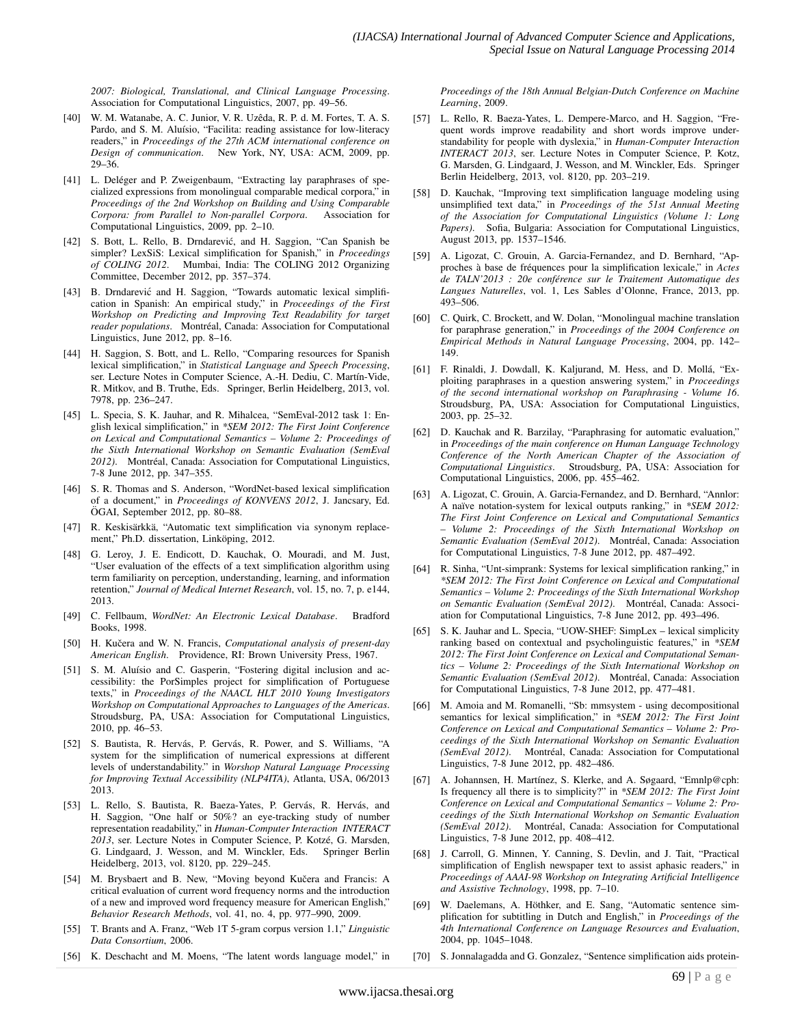*2007: Biological, Translational, and Clinical Language Processing*. Association for Computational Linguistics, 2007, pp. 49–56.

- [40] W. M. Watanabe, A. C. Junior, V. R. Uzêda, R. P. d. M. Fortes, T. A. S. Pardo, and S. M. Aluísio, "Facilita: reading assistance for low-literacy readers," in *Proceedings of the 27th ACM international conference on Design of communication*. New York, NY, USA: ACM, 2009, pp. 29–36.
- [41] L. Deléger and P. Zweigenbaum, "Extracting lay paraphrases of specialized expressions from monolingual comparable medical corpora," in *Proceedings of the 2nd Workshop on Building and Using Comparable Corpora: from Parallel to Non-parallel Corpora*. Association for Computational Linguistics, 2009, pp. 2–10.
- [42] S. Bott, L. Rello, B. Drndarević, and H. Saggion, "Can Spanish be simpler? LexSiS: Lexical simplification for Spanish," in *Proceedings of COLING 2012*. Mumbai, India: The COLING 2012 Organizing Committee, December 2012, pp. 357–374.
- [43] B. Drndarević and H. Saggion, "Towards automatic lexical simplification in Spanish: An empirical study," in *Proceedings of the First Workshop on Predicting and Improving Text Readability for target reader populations.* Montréal, Canada: Association for Computational Linguistics, June 2012, pp. 8–16.
- [44] H. Saggion, S. Bott, and L. Rello, "Comparing resources for Spanish lexical simplification," in *Statistical Language and Speech Processing*, ser. Lecture Notes in Computer Science, A.-H. Dediu, C. Martín-Vide, R. Mitkov, and B. Truthe, Eds. Springer, Berlin Heidelberg, 2013, vol. 7978, pp. 236–247.
- [45] L. Specia, S. K. Jauhar, and R. Mihalcea, "SemEval-2012 task 1: English lexical simplification," in *\*SEM 2012: The First Joint Conference on Lexical and Computational Semantics – Volume 2: Proceedings of the Sixth International Workshop on Semantic Evaluation (SemEval* 2012). Montréal, Canada: Association for Computational Linguistics, 7-8 June 2012, pp. 347–355.
- [46] S. R. Thomas and S. Anderson, "WordNet-based lexical simplification of a document," in *Proceedings of KONVENS 2012*, J. Jancsary, Ed. ÖGAI, September 2012, pp. 80–88.
- [47] R. Keskisärkkä, "Automatic text simplification via synonym replacement," Ph.D. dissertation, Linköping, 2012.
- [48] G. Leroy, J. E. Endicott, D. Kauchak, O. Mouradi, and M. Just, "User evaluation of the effects of a text simplification algorithm using term familiarity on perception, understanding, learning, and information retention," *Journal of Medical Internet Research*, vol. 15, no. 7, p. e144, 2013.
- [49] C. Fellbaum, *WordNet: An Electronic Lexical Database*. Bradford Books, 1998.
- [50] H. Kučera and W. N. Francis, *Computational analysis of present-day American English*. Providence, RI: Brown University Press, 1967.
- [51] S. M. Aluísio and C. Gasperin, "Fostering digital inclusion and accessibility: the PorSimples project for simplification of Portuguese texts," in *Proceedings of the NAACL HLT 2010 Young Investigators Workshop on Computational Approaches to Languages of the Americas*. Stroudsburg, PA, USA: Association for Computational Linguistics, 2010, pp. 46–53.
- [52] S. Bautista, R. Hervás, P. Gervás, R. Power, and S. Williams, "A system for the simplification of numerical expressions at different levels of understandability." in *Worshop Natural Language Processing for Improving Textual Accessibility (NLP4ITA)*, Atlanta, USA, 06/2013 2013.
- [53] L. Rello, S. Bautista, R. Baeza-Yates, P. Gervás, R. Hervás, and H. Saggion, "One half or 50%? an eye-tracking study of number representation readability," in *Human-Computer Interaction INTERACT* 2013, ser. Lecture Notes in Computer Science, P. Kotzé, G. Marsden, G. Lindgaard, J. Wesson, and M. Winckler, Eds. Springer Berlin Heidelberg, 2013, vol. 8120, pp. 229–245.
- [54] M. Brysbaert and B. New, "Moving beyond Kučera and Francis: A critical evaluation of current word frequency norms and the introduction of a new and improved word frequency measure for American English," *Behavior Research Methods*, vol. 41, no. 4, pp. 977–990, 2009.
- [55] T. Brants and A. Franz, "Web 1T 5-gram corpus version 1.1," *Linguistic Data Consortium*, 2006.
- [56] K. Deschacht and M. Moens, "The latent words language model," in

*Proceedings of the 18th Annual Belgian-Dutch Conference on Machine Learning*, 2009.

- [57] L. Rello, R. Baeza-Yates, L. Dempere-Marco, and H. Saggion, "Frequent words improve readability and short words improve understandability for people with dyslexia," in *Human-Computer Interaction INTERACT 2013*, ser. Lecture Notes in Computer Science, P. Kotz, G. Marsden, G. Lindgaard, J. Wesson, and M. Winckler, Eds. Springer Berlin Heidelberg, 2013, vol. 8120, pp. 203–219.
- [58] D. Kauchak, "Improving text simplification language modeling using unsimplified text data," in *Proceedings of the 51st Annual Meeting of the Association for Computational Linguistics (Volume 1: Long Papers)*. Sofia, Bulgaria: Association for Computational Linguistics, August 2013, pp. 1537–1546.
- [59] A. Ligozat, C. Grouin, A. Garcia-Fernandez, and D. Bernhard, "Approches à base de fréquences pour la simplification lexicale," in Actes *de TALN'2013 : 20e conference sur le Traitement Automatique des ´ Langues Naturelles*, vol. 1, Les Sables d'Olonne, France, 2013, pp. 493–506.
- [60] C. Quirk, C. Brockett, and W. Dolan, "Monolingual machine translation for paraphrase generation," in *Proceedings of the 2004 Conference on Empirical Methods in Natural Language Processing*, 2004, pp. 142– 149.
- [61] F. Rinaldi, J. Dowdall, K. Kaljurand, M. Hess, and D. Mollá, "Exploiting paraphrases in a question answering system," in *Proceedings of the second international workshop on Paraphrasing - Volume 16*. Stroudsburg, PA, USA: Association for Computational Linguistics, 2003, pp. 25–32.
- [62] D. Kauchak and R. Barzilay, "Paraphrasing for automatic evaluation," in *Proceedings of the main conference on Human Language Technology Conference of the North American Chapter of the Association of Computational Linguistics*. Stroudsburg, PA, USA: Association for Computational Linguistics, 2006, pp. 455–462.
- [63] A. Ligozat, C. Grouin, A. Garcia-Fernandez, and D. Bernhard, "Annlor: A naïve notation-system for lexical outputs ranking," in *\*SEM 2012: The First Joint Conference on Lexical and Computational Semantics – Volume 2: Proceedings of the Sixth International Workshop on Semantic Evaluation (SemEval 2012).* Montréal, Canada: Association for Computational Linguistics, 7-8 June 2012, pp. 487–492.
- [64] R. Sinha, "Unt-simprank: Systems for lexical simplification ranking," in *\*SEM 2012: The First Joint Conference on Lexical and Computational Semantics – Volume 2: Proceedings of the Sixth International Workshop on Semantic Evaluation (SemEval 2012).* Montréal, Canada: Association for Computational Linguistics, 7-8 June 2012, pp. 493–496.
- [65] S. K. Jauhar and L. Specia, "UOW-SHEF: SimpLex lexical simplicity ranking based on contextual and psycholinguistic features," in *\*SEM 2012: The First Joint Conference on Lexical and Computational Semantics – Volume 2: Proceedings of the Sixth International Workshop on Semantic Evaluation (SemEval 2012).* Montréal, Canada: Association for Computational Linguistics, 7-8 June 2012, pp. 477–481.
- [66] M. Amoia and M. Romanelli, "Sb: mmsystem using decompositional semantics for lexical simplification," in *\*SEM 2012: The First Joint Conference on Lexical and Computational Semantics – Volume 2: Proceedings of the Sixth International Workshop on Semantic Evaluation (SemEval 2012)*. Montréal, Canada: Association for Computational Linguistics, 7-8 June 2012, pp. 482–486.
- [67] A. Johannsen, H. Martínez, S. Klerke, and A. Søgaard, "Emnlp@cph: Is frequency all there is to simplicity?" in *\*SEM 2012: The First Joint Conference on Lexical and Computational Semantics – Volume 2: Proceedings of the Sixth International Workshop on Semantic Evaluation (SemEval 2012).* Montréal, Canada: Association for Computational Linguistics, 7-8 June 2012, pp. 408–412.
- [68] J. Carroll, G. Minnen, Y. Canning, S. Devlin, and J. Tait, "Practical simplification of English newspaper text to assist aphasic readers," in *Proceedings of AAAI-98 Workshop on Integrating Artificial Intelligence and Assistive Technology*, 1998, pp. 7–10.
- [69] W. Daelemans, A. Höthker, and E. Sang, "Automatic sentence simplification for subtitling in Dutch and English," in *Proceedings of the 4th International Conference on Language Resources and Evaluation*, 2004, pp. 1045–1048.
- [70] S. Jonnalagadda and G. Gonzalez, "Sentence simplification aids protein-